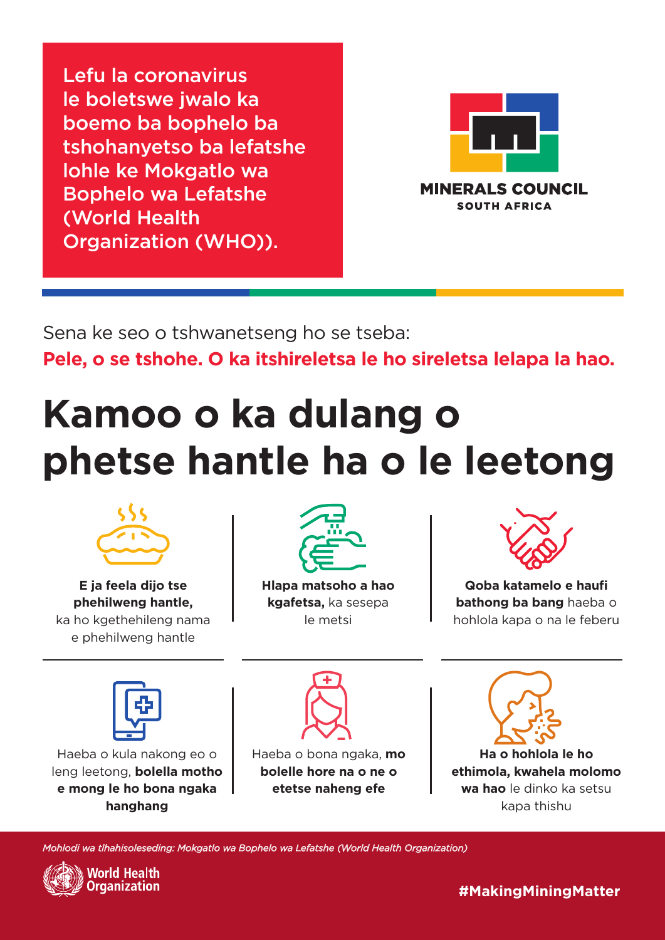### **#MakingMiningMatter**

*Mohlodi wa tlhahisoleseding: Mokgatlo wa Bophelo wa Lefatshe (World Health Organization)*





**E ja feela dijo tse phehilweng hantle,** ka ho kgethehileng nama e phehilweng hantle

Haeba o kula nakong eo o leng leetong, **bolella motho e mong le ho bona ngaka hanghang**



**Hlapa matsoho a hao kgafetsa,** ka sesepa le metsi



**Qoba katamelo e haufi bathong ba bang** haeba o hohlola kapa o na le feberu







**Ha o hohlola le ho ethimola, kwahela molomo wa hao** le dinko ka setsu kapa thishu

## **Kamoo o ka dulang o phetse hantle ha o le leetong**

Sena ke seo o tshwanetseng ho se tseba:

**Pele, o se tshohe. O ka itshireletsa le ho sireletsa lelapa la hao.**

Haeba o bona ngaka, **mo bolelle hore na o ne o etetse naheng efe**

Lefu la coronavirus le boletswe jwalo ka boemo ba bophelo ba tshohanyetso ba lefatshe lohle ke Mokgatlo wa Bophelo wa Lefatshe (World Health Organization (WHO)).